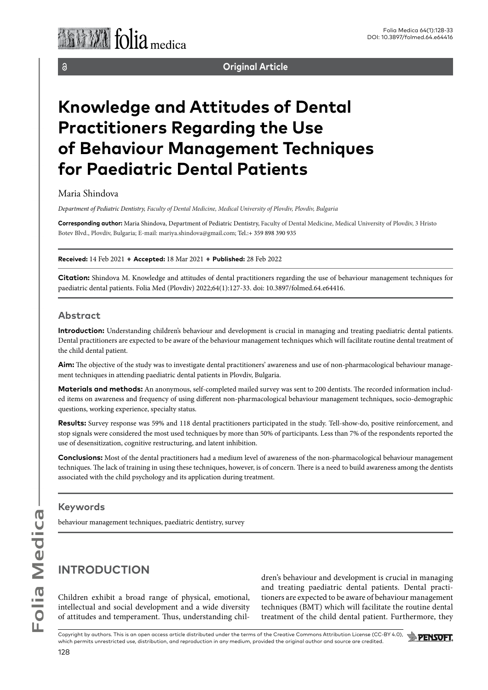$\delta$ 

**Original Article**

# **Knowledge and Attitudes of Dental Practitioners Regarding the Use of Behaviour Management Techniques for Paediatric Dental Patients**

## Maria Shindova

*Department of Pediatric Dentistry, Faculty of Dental Medicine, Medical University of Plovdiv, Plovdiv, Bulgaria* 

**Corresponding author:** Maria Shindova, Department of Pediatric Dentistry, Faculty of Dental Medicine, Medical University of Plovdiv, 3 Hristo Botev Blvd., Plovdiv, Bulgaria; E-mail: mariya.shindova@gmail.com; Tel.:+ 359 898 390 935

**Received:** 14 Feb 2021 ♦ **Accepted:** 18 Mar 2021 ♦ **Published:** 28 Feb 2022

**Citation:** Shindova M. Knowledge and attitudes of dental practitioners regarding the use of behaviour management techniques for paediatric dental patients. Folia Med (Plovdiv) 2022;64(1):127-33. doi: 10.3897/folmed.64.e64416.

## **Abstract**

**Introduction:** Understanding children's behaviour and development is crucial in managing and treating paediatric dental patients. Dental practitioners are expected to be aware of the behaviour management techniques which will facilitate routine dental treatment of the child dental patient.

**Aim:** The objective of the study was to investigate dental practitioners' awareness and use of non-pharmacological behaviour management techniques in attending paediatric dental patients in Plovdiv, Bulgaria.

**Materials and methods:** An anonymous, self-completed mailed survey was sent to 200 dentists. The recorded information included items on awareness and frequency of using different non-pharmacological behaviour management techniques, socio-demographic questions, working experience, specialty status.

**Results:** Survey response was 59% and 118 dental practitioners participated in the study. Tell-show-do, positive reinforcement, and stop signals were considered the most used techniques by more than 50% of participants. Less than 7% of the respondents reported the use of desensitization, cognitive restructuring, and latent inhibition.

**Conclusions:** Most of the dental practitioners had a medium level of awareness of the non-pharmacological behaviour management techniques. The lack of training in using these techniques, however, is of concern. There is a need to build awareness among the dentists associated with the child psychology and its application during treatment.

## **Keywords**

behaviour management techniques, paediatric dentistry, survey

## **INTRODUCTION**

Children exhibit a broad range of physical, emotional, intellectual and social development and a wide diversity of attitudes and temperament. Thus, understanding children's behaviour and development is crucial in managing and treating paediatric dental patients. Dental practitioners are expected to be aware of behaviour management techniques (BMT) which will facilitate the routine dental treatment of the child dental patient. Furthermore, they

Copyright by authors. This is an open access article distributed under the terms of the Creative Commons Attribution License (CC-BY 4.0), which permits unrestricted use, distribution, and reproduction in any medium, provided the original author and source are credited.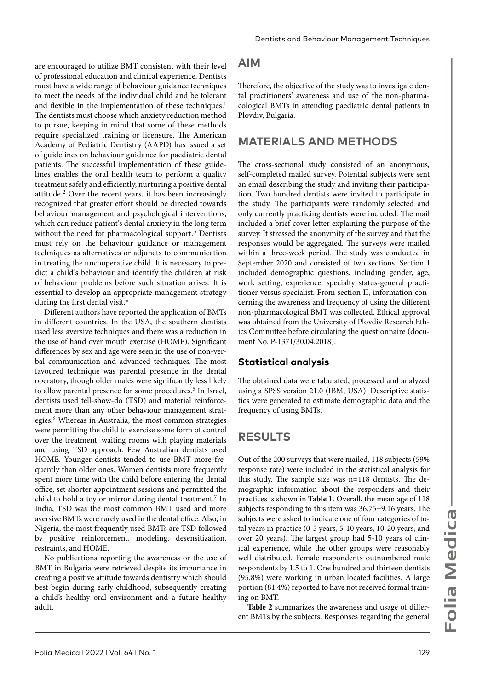are encouraged to utilize BMT consistent with their level of professional education and clinical experience. Dentists must have a wide range of behaviour guidance techniques to meet the needs of the individual child and be tolerant and flexible in the implementation of these techniques.<sup>1</sup> The dentists must choose which anxiety reduction method to pursue, keeping in mind that some of these methods require specialized training or licensure. The American Academy of Pediatric Dentistry (AAPD) has issued a set of guidelines on behaviour guidance for paediatric dental patients. The successful implementation of these guidelines enables the oral health team to perform a quality treatment safely and efficiently, nurturing a positive dental attitude.2 Over the recent years, it has been increasingly recognized that greater effort should be directed towards behaviour management and psychological interventions, which can reduce patient's dental anxiety in the long term without the need for pharmacological support.<sup>3</sup> Dentists must rely on the behaviour guidance or management techniques as alternatives or adjuncts to communication in treating the uncooperative child. It is necessary to predict a child's behaviour and identify the children at risk of behaviour problems before such situation arises. It is essential to develop an appropriate management strategy during the first dental visit.<sup>4</sup>

Different authors have reported the application of BMTs in different countries. In the USA, the southern dentists used less aversive techniques and there was a reduction in the use of hand over mouth exercise (HOME). Significant differences by sex and age were seen in the use of non-verbal communication and advanced techniques. The most favoured technique was parental presence in the dental operatory, though older males were significantly less likely to allow parental presence for some procedures.<sup>5</sup> In Israel, dentists used tell-show-do (TSD) and material reinforcement more than any other behaviour management strategies.<sup>6</sup> Whereas in Australia, the most common strategies were permitting the child to exercise some form of control over the treatment, waiting rooms with playing materials and using TSD approach. Few Australian dentists used HOME. Younger dentists tended to use BMT more frequently than older ones. Women dentists more frequently spent more time with the child before entering the dental office, set shorter appointment sessions and permitted the child to hold a toy or mirror during dental treatment.7 In India, TSD was the most common BMT used and more aversive BMTs were rarely used in the dental office. Also, in Nigeria, the most frequently used BMTs are TSD followed by positive reinforcement, modeling, desensitization, restraints, and HOME.

No publications reporting the awareness or the use of BMT in Bulgaria were retrieved despite its importance in creating a positive attitude towards dentistry which should best begin during early childhood, subsequently creating a child's healthy oral environment and a future healthy adult.

## **AIM**

Therefore, the objective of the study was to investigate dental practitioners' awareness and use of the non-pharmacological BMTs in attending paediatric dental patients in Plovdiv, Bulgaria.

## **MATERIALS AND METHODS**

The cross-sectional study consisted of an anonymous, self-completed mailed survey. Potential subjects were sent an email describing the study and inviting their participation. Two hundred dentists were invited to participate in the study. The participants were randomly selected and only currently practicing dentists were included. The mail included a brief cover letter explaining the purpose of the survey. It stressed the anonymity of the survey and that the responses would be aggregated. The surveys were mailed within a three-week period. The study was conducted in September 2020 and consisted of two sections. Section I included demographic questions, including gender, age, work setting, experience, specialty status-general practitioner versus specialist. From section II, information concerning the awareness and frequency of using the different non-pharmacological BMT was collected. Ethical approval was obtained from the University of Plovdiv Research Ethics Committee before circulating the questionnaire (document No. P-1371/30.04.2018).

### **Statistical analysis**

The obtained data were tabulated, processed and analyzed using a SPSS version 21.0 (IBM, USA). Descriptive statistics were generated to estimate demographic data and the frequency of using BMTs.

## **RESULTS**

Out of the 200 surveys that were mailed, 118 subjects (59% response rate) were included in the statistical analysis for this study. The sample size was n=118 dentists. The demographic information about the responders and their practices is shown in **Table 1**. Overall, the mean age of 118 subjects responding to this item was 36.75±9.16 years. The subjects were asked to indicate one of four categories of total years in practice (0-5 years, 5-10 years, 10-20 years, and over 20 years). The largest group had 5-10 years of clinical experience, while the other groups were reasonably well distributed. Female respondents outnumbered male respondents by 1.5 to 1. One hundred and thirteen dentists (95.8%) were working in urban located facilities. A large portion (81.4%) reported to have not received formal training on BMT.

**Table 2** summarizes the awareness and usage of different BMTs by the subjects. Responses regarding the general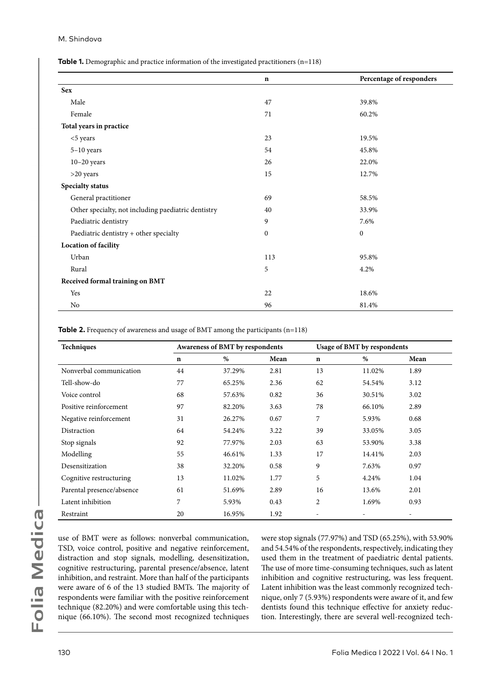#### M. Shindova

**Table 1.** Demographic and practice information of the investigated practitioners (n=118)

|                                                     | $\mathbf n$      | Percentage of responders |  |
|-----------------------------------------------------|------------------|--------------------------|--|
| <b>Sex</b>                                          |                  |                          |  |
| Male                                                | 47               | 39.8%                    |  |
| Female                                              | 71               | 60.2%                    |  |
| Total years in practice                             |                  |                          |  |
| <5 years                                            | 23               | 19.5%                    |  |
| 5-10 years                                          | 54               | 45.8%                    |  |
| $10-20$ years                                       | 26               | 22.0%                    |  |
| >20 years                                           | 15               | 12.7%                    |  |
| Specialty status                                    |                  |                          |  |
| General practitioner                                | 69               | 58.5%                    |  |
| Other specialty, not including paediatric dentistry | 40               | 33.9%                    |  |
| Paediatric dentistry                                | 9                | 7.6%                     |  |
| Paediatric dentistry + other specialty              | $\boldsymbol{0}$ | $\boldsymbol{0}$         |  |
| <b>Location of facility</b>                         |                  |                          |  |
| Urban                                               | 113              | 95.8%                    |  |
| Rural                                               | 5                | 4.2%                     |  |
| Received formal training on BMT                     |                  |                          |  |
| Yes                                                 | 22               | 18.6%                    |  |
| No                                                  | 96               | 81.4%                    |  |

**Table 2.** Frequency of awareness and usage of BMT among the participants (n=118)

| Techniques                |             | Awareness of BMT by respondents |      |             | <b>Usage of BMT by respondents</b> |      |  |
|---------------------------|-------------|---------------------------------|------|-------------|------------------------------------|------|--|
|                           | $\mathbf n$ | $\%$                            | Mean | $\mathbf n$ | %                                  | Mean |  |
| Nonverbal communication   | 44          | 37.29%                          | 2.81 | 13          | 11.02%                             | 1.89 |  |
| Tell-show-do              | 77          | 65.25%                          | 2.36 | 62          | 54.54%                             | 3.12 |  |
| Voice control             | 68          | 57.63%                          | 0.82 | 36          | 30.51%                             | 3.02 |  |
| Positive reinforcement    | 97          | 82.20%                          | 3.63 | 78          | 66.10%                             | 2.89 |  |
| Negative reinforcement    | 31          | 26.27%                          | 0.67 | 7           | 5.93%                              | 0.68 |  |
| Distraction               | 64          | 54.24%                          | 3.22 | 39          | 33.05%                             | 3.05 |  |
| Stop signals              | 92          | 77.97%                          | 2.03 | 63          | 53.90%                             | 3.38 |  |
| Modelling                 | 55          | 46.61%                          | 1.33 | 17          | 14.41%                             | 2.03 |  |
| Desensitization           | 38          | 32.20%                          | 0.58 | 9           | 7.63%                              | 0.97 |  |
| Cognitive restructuring   | 13          | 11.02%                          | 1.77 | 5           | 4.24%                              | 1.04 |  |
| Parental presence/absence | 61          | 51.69%                          | 2.89 | 16          | 13.6%                              | 2.01 |  |
| Latent inhibition         | 7           | 5.93%                           | 0.43 | 2           | 1.69%                              | 0.93 |  |
| Restraint                 | 20          | 16.95%                          | 1.92 |             |                                    |      |  |

use of BMT were as follows: nonverbal communication, TSD, voice control, positive and negative reinforcement, distraction and stop signals, modelling, desensitization, cognitive restructuring, parental presence/absence, latent inhibition, and restraint. More than half of the participants were aware of 6 of the 13 studied BMTs. The majority of respondents were familiar with the positive reinforcement technique (82.20%) and were comfortable using this technique (66.10%). The second most recognized techniques

were stop signals (77.97%) and TSD (65.25%), with 53.90% and 54.54% of the respondents, respectively, indicating they used them in the treatment of paediatric dental patients. The use of more time-consuming techniques, such as latent inhibition and cognitive restructuring, was less frequent. Latent inhibition was the least commonly recognized technique, only 7 (5.93%) respondents were aware of it, and few dentists found this technique effective for anxiety reduction. Interestingly, there are several well-recognized tech-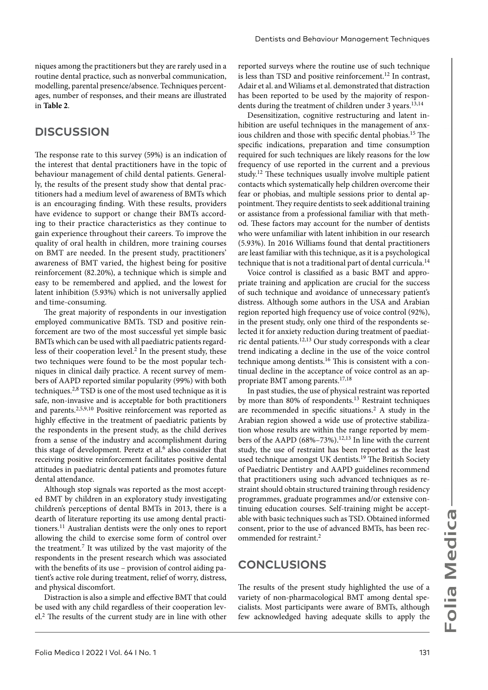niques among the practitioners but they are rarely used in a routine dental practice, such as nonverbal communication, modelling, parental presence/absence. Techniques percentages, number of responses, and their means are illustrated in **Table 2**.

## **DISCUSSION**

The response rate to this survey (59%) is an indication of the interest that dental practitioners have in the topic of behaviour management of child dental patients. Generally, the results of the present study show that dental practitioners had a medium level of awareness of BMTs which is an encouraging finding. With these results, providers have evidence to support or change their BMTs according to their practice characteristics as they continue to gain experience throughout their careers. To improve the quality of oral health in children, more training courses on BMT are needed. In the present study, practitioners' awareness of BMT varied, the highest being for positive reinforcement (82.20%), a technique which is simple and easy to be remembered and applied, and the lowest for latent inhibition (5.93%) which is not universally applied and time-consuming.

The great majority of respondents in our investigation employed communicative BMTs. TSD and positive reinforcement are two of the most successful yet simple basic BMTs which can be used with all paediatric patients regardless of their cooperation level.<sup>2</sup> In the present study, these two techniques were found to be the most popular techniques in clinical daily practice. A recent survey of members of AAPD reported similar popularity (99%) with both techniques.2,8 TSD is one of the most used technique as it is safe, non-invasive and is acceptable for both practitioners and parents.2,5,9,10 Positive reinforcement was reported as highly effective in the treatment of paediatric patients by the respondents in the present study, as the child derives from a sense of the industry and accomplishment during this stage of development. Peretz et al.<sup>6</sup> also consider that receiving positive reinforcement facilitates positive dental attitudes in paediatric dental patients and promotes future dental attendance.

Although stop signals was reported as the most accepted BMT by children in an exploratory study investigating children's perceptions of dental BMTs in 2013, there is a dearth of literature reporting its use among dental practitioners.11 Australian dentists were the only ones to report allowing the child to exercise some form of control over the treatment.7 It was utilized by the vast majority of the respondents in the present research which was associated with the benefits of its use – provision of control aiding patient's active role during treatment, relief of worry, distress, and physical discomfort.

Distraction is also a simple and effective BMT that could be used with any child regardless of their cooperation level.2 The results of the current study are in line with other

reported surveys where the routine use of such technique is less than TSD and positive reinforcement.<sup>12</sup> In contrast, Adair et al. and Wiliams et al. demonstrated that distraction has been reported to be used by the majority of respondents during the treatment of children under 3 years.<sup>13,14</sup>

Desensitization, cognitive restructuring and latent inhibition are useful techniques in the management of anxious children and those with specific dental phobias.<sup>15</sup> The specific indications, preparation and time consumption required for such techniques are likely reasons for the low frequency of use reported in the current and a previous study.12 These techniques usually involve multiple patient contacts which systematically help children overcome their fear or phobias, and multiple sessions prior to dental appointment. They require dentists to seek additional training or assistance from a professional familiar with that method. These factors may account for the number of dentists who were unfamiliar with latent inhibition in our research (5.93%). In 2016 Williams found that dental practitioners are least familiar with this technique, as it is a psychological technique that is not a traditional part of dental curricula.<sup>14</sup>

Voice control is classified as a basic BMT and appropriate training and application are crucial for the success of such technique and avoidance of unnecessary patient's distress. Although some authors in the USA and Arabian region reported high frequency use of voice control (92%), in the present study, only one third of the respondents selected it for anxiety reduction during treatment of paediatric dental patients.12,13 Our study corresponds with a clear trend indicating a decline in the use of the voice control technique among dentists.16 This is consistent with a continual decline in the acceptance of voice control as an appropriate BMT among parents.17,18

In past studies, the use of physical restraint was reported by more than 80% of respondents.<sup>13</sup> Restraint techniques are recommended in specific situations.2 A study in the Arabian region showed a wide use of protective stabilization whose results are within the range reported by members of the AAPD (68%–73%).<sup>12,13</sup> In line with the current study, the use of restraint has been reported as the least used technique amongst UK dentists.<sup>19</sup> The British Society of Paediatric Dentistry and AAPD guidelines recommend that practitioners using such advanced techniques as restraint should obtain structured training through residency programmes, graduate programmes and/or extensive continuing education courses. Self-training might be acceptable with basic techniques such as TSD. Obtained informed consent, prior to the use of advanced BMTs, has been recommended for restraint.<sup>2</sup>

## **CONCLUSIONS**

The results of the present study highlighted the use of a variety of non-pharmacological BMT among dental specialists. Most participants were aware of BMTs, although few acknowledged having adequate skills to apply the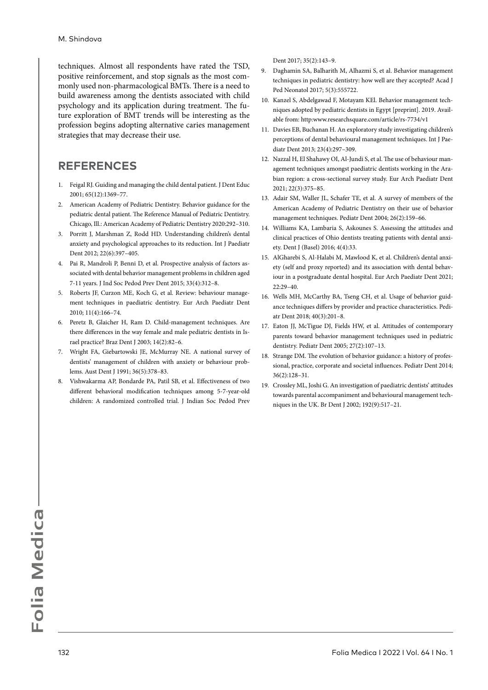techniques. Almost all respondents have rated the TSD, positive reinforcement, and stop signals as the most commonly used non-pharmacological BMTs. There is a need to build awareness among the dentists associated with child psychology and its application during treatment. The future exploration of BMT trends will be interesting as the profession begins adopting alternative caries management strategies that may decrease their use.

## **REFERENCES**

- 1. Feigal RJ. Guiding and managing the child dental patient. J Dent Educ 2001; 65(12):1369–77.
- 2. American Academy of Pediatric Dentistry. Behavior guidance for the pediatric dental patient. The Reference Manual of Pediatric Dentistry. Chicago, Ill.: American Academy of Pediatric Dentistry 2020:292–310.
- 3. Porritt J, Marshman Z, Rodd HD. Understanding children's dental anxiety and psychological approaches to its reduction. Int J Paediatr Dent 2012; 22(6):397–405.
- 4. Pai R, Mandroli P, Benni D, et al. Prospective analysis of factors associated with dental behavior management problems in children aged 7-11 years. J Ind Soc Pedod Prev Dent 2015; 33(4):312–8.
- 5. Roberts JF, Curzon ME, Koch G, et al. Review: behaviour management techniques in paediatric dentistry. Eur Arch Paediatr Dent 2010; 11(4):166–74.
- 6. Peretz B, Glaicher H, Ram D. Child-management techniques. Are there differences in the way female and male pediatric dentists in Israel practice? Braz Dent J 2003; 14(2):82–6.
- 7. Wright FA, Giebartowski JE, McMurray NE. A national survey of dentists' management of children with anxiety or behaviour problems. Aust Dent J 1991; 36(5):378–83.
- 8. Vishwakarma AP, Bondarde PA, Patil SB, et al. Effectiveness of two different behavioral modification techniques among 5-7-year-old children: A randomized controlled trial. J Indian Soc Pedod Prev

Dent 2017; 35(2):143–9.

- 9. Daghamin SA, Balharith M, Alhazmi S, et al. Behavior management techniques in pediatric dentistry: how well are they accepted? Acad J Ped Neonatol 2017; 5(3):555722.
- 10. Kanzel S, Abdelgawad F, Motayam KEl. Behavior management techniques adopted by pediatric dentists in Egypt [preprint]. 2019. Available from: http:www.researchsquare.com/article/rs-7734/v1
- 11. Davies EB, Buchanan H. An exploratory study investigating children's perceptions of dental behavioural management techniques. Int J Paediatr Dent 2013; 23(4):297–309.
- 12. Nazzal H, El Shahawy OI, Al-Jundi S, et al. The use of behaviour management techniques amongst paediatric dentists working in the Arabian region: a cross-sectional survey study. Eur Arch Paediatr Dent 2021; 22(3):375–85.
- 13. Adair SM, Waller JL, Schafer TE, et al. A survey of members of the American Academy of Pediatric Dentistry on their use of behavior management techniques. Pediatr Dent 2004; 26(2):159–66.
- 14. Williams KA, Lambaria S, Askounes S. Assessing the attitudes and clinical practices of Ohio dentists treating patients with dental anxiety. Dent J (Basel) 2016; 4(4):33.
- 15. AlGharebi S, Al-Halabi M, Mawlood K, et al. Children's dental anxiety (self and proxy reported) and its association with dental behaviour in a postgraduate dental hospital. Eur Arch Paediatr Dent 2021; 22:29–40.
- 16. Wells MH, McCarthy BA, Tseng CH, et al. Usage of behavior guidance techniques differs by provider and practice characteristics. Pediatr Dent 2018; 40(3):201–8.
- 17. Eaton JJ, McTigue DJ, Fields HW, et al. Attitudes of contemporary parents toward behavior management techniques used in pediatric dentistry. Pediatr Dent 2005; 27(2):107–13.
- 18. Strange DM. The evolution of behavior guidance: a history of professional, practice, corporate and societal influences. Pediatr Dent 2014; 36(2):128–31.
- 19. Crossley ML, Joshi G. An investigation of paediatric dentists' attitudes towards parental accompaniment and behavioural management techniques in the UK. Br Dent J 2002; 192(9):517–21.